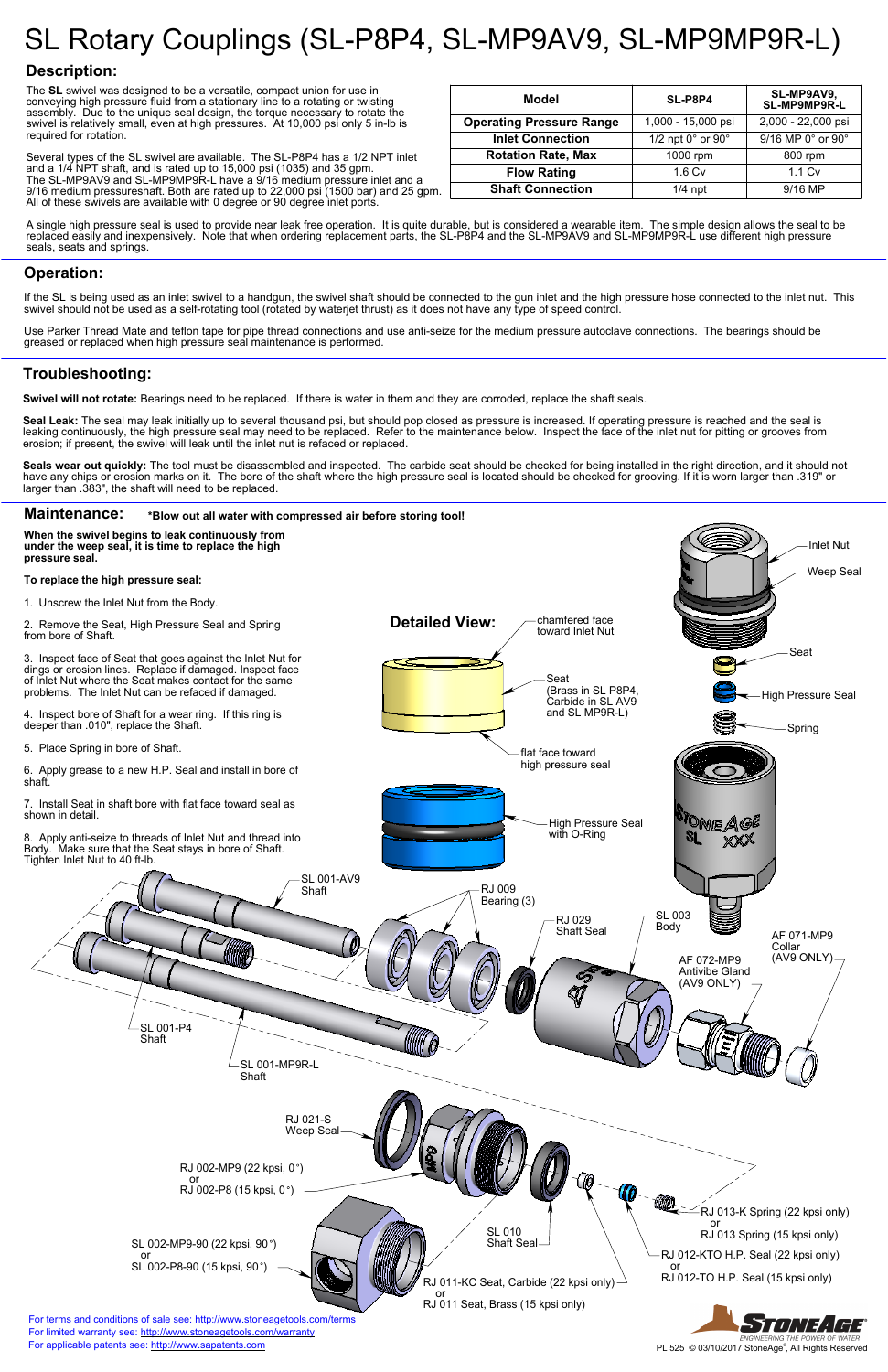#### **Maintenance: \*Blow out all water with compressed air before storing tool! When the swivel begins to leak continuously from under the weep seal, it is time to replace the high**  Inlet Nut **pressure seal.**  Weep Seal **To replace the high pressure seal:** 1. Unscrew the Inlet Nut from the Body. **Detailed View:** chamfered face 2. Remove the Seat, High Pressure Seal and Spring toward Inlet Nut from bore of Shaft. Seat 3. Inspect face of Seat that goes against the Inlet Nut for dings or erosion lines. Replace if damaged. Inspect face Seat of Inlet Nut where the Seat makes contact for the same (Brass in SL P8P4, problems. The Inlet Nut can be refaced if damaged. High Pressure Seal Carbide in SL AV9 and SL MP9R-L) 4. Inspect bore of Shaft for a wear ring. If this ring is deeper than .010", replace the Shaft. Spring 5. Place Spring in bore of Shaft. flat face toward high pressure seal 6. Apply grease to a new H.P. Seal and install in bore of shaft. 7. Install Seat in shaft bore with flat face toward seal as shown in detail. High Pressure Seal unie Age with O-Ring 8. Apply anti-seize to threads of Inlet Nut and thread into Body. Make sure that the Seat stays in bore of Shaft. Tighten Inlet Nut to 40 ft-lb. SL 001-AV9 Shaft RJ 009 Bearing (3) SL 003 RJ 029 Body Shaft Seal AF 071-MP9 Collar (AV9 ONLY) AF 072-MP9 Antivibe Gland (AV9 ONLY) ◁

Seal Leak: The seal may leak initially up to several thousand psi, but should pop closed as pressure is increased. If operating pressure is reached and the seal is leaking continuously, the high pressure seal may need to be replaced. Refer to the maintenance below. Inspect the face of the inlet nut for pitting or grooves from erosion; if present, the swivel will leak until the inlet nut is refaced or replaced.

# SL Rotary Couplings (SL-P8P4, SL-MP9AV9, SL-MP9MP9R-L)

## **Description:**

Seals wear out quickly: The tool must be disassembled and inspected. The carbide seat should be checked for being installed in the right direction, and it should not have any chips or erosion marks on it. The bore of the shaft where the high pressure seal is located should be checked for grooving. If it is worn larger than .319" or larger than .383", the shaft will need to be replaced.

The **SL** swivel was designed to be a versatile, compact union for use in conveying high pressure fluid from a stationary line to a rotating or twisting assembly. Due to the unique seal design, the torque necessary to rotate the swivel is relatively small, even at high pressures. At 10,000 psi only 5 in-lb is required for rotation.

For terms and conditions of sale see:<http://www.stoneagetools.com/terms> For limited warranty see:<http://www.stoneagetools.com/warranty>

Several types of the SL swivel are available. The SL-P8P4 has a 1/2 NPT inlet and a 1/4 NPT shaft, and is rated up to 15,000 psi (1035) and 35 gpm. The SL-MP9AV9 and SL-MP9MP9R-L have a 9/16 medium pressure inlet and a 9/16 medium pressureshaft. Both are rated up to 22,000 psi (1500 bar) and 25 gpm. All of these swivels are available with 0 degree or 90 degree inlet ports.



A single high pressure seal is used to provide near leak free operation. It is quite durable, but is considered a wearable item. The simple design allows the seal to be replaced easily and inexpensively. Note that when ordering replacement parts, the SL-P8P4 and the SL-MP9AV9 and SL-MP9MP9R-L use different high pressure seals, seats and springs.

## **Troubleshooting:**

**Swivel will not rotate:** Bearings need to be replaced. If there is water in them and they are corroded, replace the shaft seals.

### **Operation:**

If the SL is being used as an inlet swivel to a handgun, the swivel shaft should be connected to the gun inlet and the high pressure hose connected to the inlet nut. This swivel should not be used as a self-rotating tool (rotated by waterjet thrust) as it does not have any type of speed control.

Use Parker Thread Mate and teflon tape for pipe thread connections and use anti-seize for the medium pressure autoclave connections. The bearings should be greased or replaced when high pressure seal maintenance is performed.

| Model                           | SL-P8P4                         | SL-MP9AV9,<br>SL-MP9MP9R-L |
|---------------------------------|---------------------------------|----------------------------|
| <b>Operating Pressure Range</b> | 1,000 - 15,000 psi              | 2,000 - 22,000 psi         |
| <b>Inlet Connection</b>         | 1/2 npt $0^\circ$ or $90^\circ$ | 9/16 MP 0° or 90°          |
| <b>Rotation Rate, Max</b>       | 1000 rpm                        | 800 rpm                    |
| <b>Flow Rating</b>              | 1.6 <sub>cv</sub>               | $1.1 \mathrm{Cv}$          |
| <b>Shaft Connection</b>         | $1/4$ npt                       | $9/16$ MP                  |